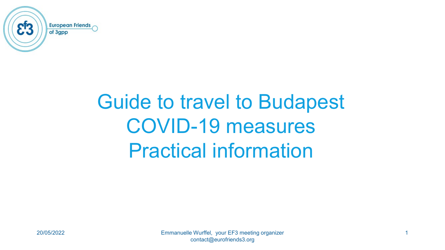

# Guide to travel to Budapest COVID-19 measures Practical information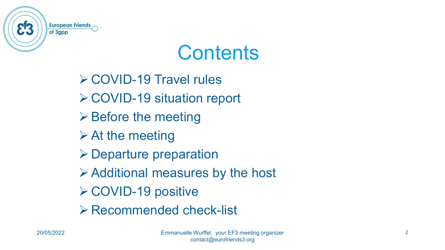

### **Contents**

**≻ COVID-19 Travel rules ≻ COVID-19 situation report**  $\triangleright$  Before the meeting  $\triangleright$  At the meeting **≻ Departure preparation**  $\triangleright$  Additional measures by the host **≻ COVID-19 positive** Recommended check-list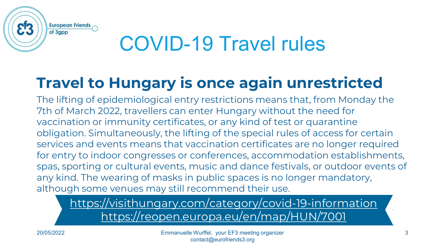

# COVID-19 Travel rules

#### **Travel to Hungary is once again unrestricted**

The lifting of epidemiological entry restrictions means that, from Monday the 7th of March 2022, travellers can enter Hungary without the need for vaccination or immunity certificates, or any kind of test or quarantine obligation. Simultaneously, the lifting of the special rules of access for certain services and events means that vaccination certificates are no longer required for entry to indoor congresses or conferences, accommodation establishments, spas, sporting or cultural events, music and dance festivals, or outdoor events of any kind. The wearing of masks in public spaces is no longer mandatory, although some venues may still recommend their use.

<https://visithungary.com/category/covid-19-information> <https://reopen.europa.eu/en/map/HUN/7001>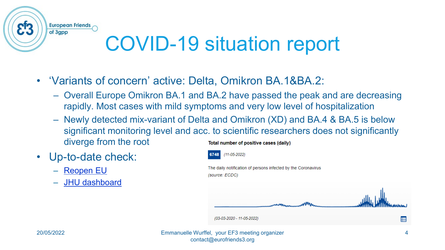

# COVID-19 situation report

- 'Variants of concern' active: Delta, Omikron BA.1&BA.2:
	- Overall Europe Omikron BA.1 and BA.2 have passed the peak and are decreasing rapidly. Most cases with mild symptoms and very low level of hospitalization
	- Newly detected mix-variant of Delta and Omikron (XD) and BA.4 & BA.5 is below significant monitoring level and acc. to scientific researchers does not significantly diverge from the root Total number of positive cases (daily)
- Up-to-date check:
	- [Reopen EU](https://reopen.europa.eu/en/map/HUN/7001)
	- [JHU dashboard](https://coronavirus.jhu.edu/region/hungary)

 $(11-05-2022)$ The daily notification of persons infected by the Coronavirus (source: ECDC) (03-03-2020 - 11-05-2022) E 20/05/2022 Emmanuelle Wurffel, your EF3 meeting organizer 4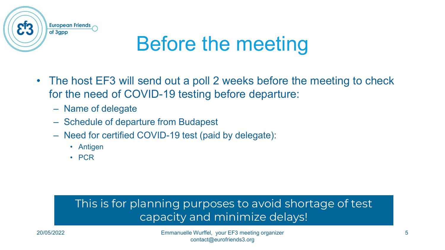

# Before the meeting

- The host EF3 will send out a poll 2 weeks before the meeting to check for the need of COVID-19 testing before departure:
	- Name of delegate
	- Schedule of departure from Budapest
	- Need for certified COVID-19 test (paid by delegate):
		- Antigen
		- PCR

#### This is for planning purposes to avoid shortage of test capacity and minimize delays!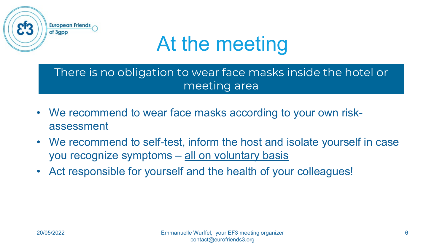

# At the meeting

There is no obligation to wear face masks inside the hotel or meeting area

- We recommend to wear face masks according to your own riskassessment
- We recommend to self-test, inform the host and isolate yourself in case you recognize symptoms – all on voluntary basis
- Act responsible for yourself and the health of your colleagues!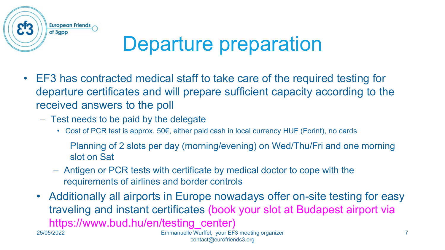

## Departure preparation

- EF3 has contracted medical staff to take care of the required testing for departure certificates and will prepare sufficient capacity according to the received answers to the poll
	- Test needs to be paid by the delegate
		- Cost of PCR test is approx. 50€, either paid cash in local currency HUF (Forint), no cards
			- Planning of 2 slots per day (morning/evening) on Wed/Thu/Fri and one morning slot on Sat
		- Antigen or PCR tests with certificate by medical doctor to cope with the requirements of airlines and border controls
	- Additionally all airports in Europe nowadays offer on-site testing for easy traveling and instant certificates (book your slot at Budapest airport via https://www.bud.hu/en/testing\_center) 25/05/2022 Emmanuelle Wurffel, your EF3 meeting organizer 7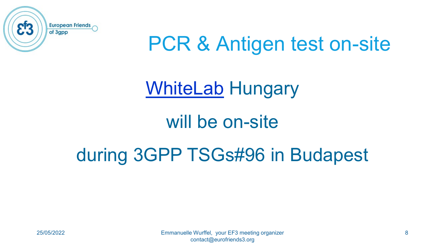

## PCR & Antigen test on-site

#### [WhiteLab](https://whitelab.hu/) Hungary

#### will be on-site

#### during 3GPP TSGs#96 in Budapest



25/05/2022 Emmanuelle Wurffel, your EF3 meeting organizer 8 contact@eurofriends3.org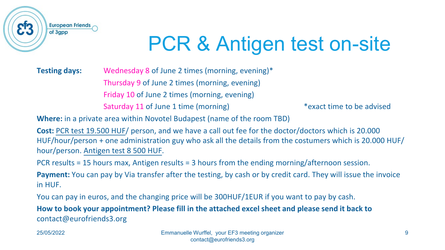

# PCR & Antigen test on-site

**Testing days:** Wednesday 8 of June 2 times (morning, evening)\* Thursday 9 of June 2 times (morning, evening) Friday 10 of June 2 times (morning, evening) Saturday 11 of June 1 time (morning) The same that the top is a set time to be advised

**Where:** in a private area within Novotel Budapest (name of the room TBD)

**Cost:** PCR test 19.500 HUF/ person, and we have a call out fee for the doctor/doctors which is 20.000 HUF/hour/person + one administration guy who ask all the details from the costumers which is 20.000 HUF/ hour/person. Antigen test 8 500 HUF.

PCR results = 15 hours max, Antigen results = 3 hours from the ending morning/afternoon session.

**Payment:** You can pay by Via transfer after the testing, by cash or by credit card. They will issue the invoice in HUF.

You can pay in euros, and the changing price will be 300HUF/1EUR if you want to pay by cash.

**How to book your appointment? Please fill in the attached excel sheet and please send it back to**  contact@eurofriends3.org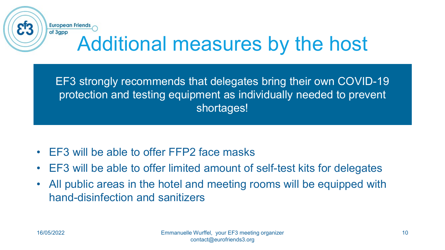#### **European Friends** of 3gpp Additional measures by the host

EF3 strongly recommends that delegates bring their own COVID-19 protection and testing equipment as individually needed to prevent shortages!

- EF3 will be able to offer FFP2 face masks
- EF3 will be able to offer limited amount of self-test kits for delegates
- All public areas in the hotel and meeting rooms will be equipped with hand-disinfection and sanitizers

83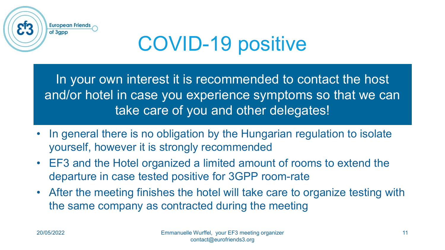

# COVID-19 positive

In your own interest it is recommended to contact the host and/or hotel in case you experience symptoms so that we can take care of you and other delegates!

- In general there is no obligation by the Hungarian regulation to isolate yourself, however it is strongly recommended
- EF3 and the Hotel organized a limited amount of rooms to extend the departure in case tested positive for 3GPP room-rate
- After the meeting finishes the hotel will take care to organize testing with the same company as contracted during the meeting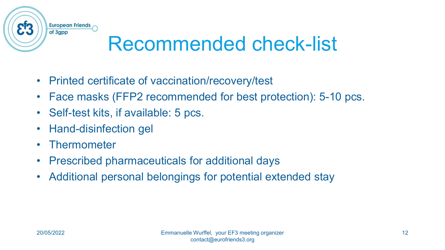

# Recommended check-list

- Printed certificate of vaccination/recovery/test
- Face masks (FFP2 recommended for best protection): 5-10 pcs.
- Self-test kits, if available: 5 pcs.
- Hand-disinfection gel
- Thermometer
- Prescribed pharmaceuticals for additional days
- Additional personal belongings for potential extended stay